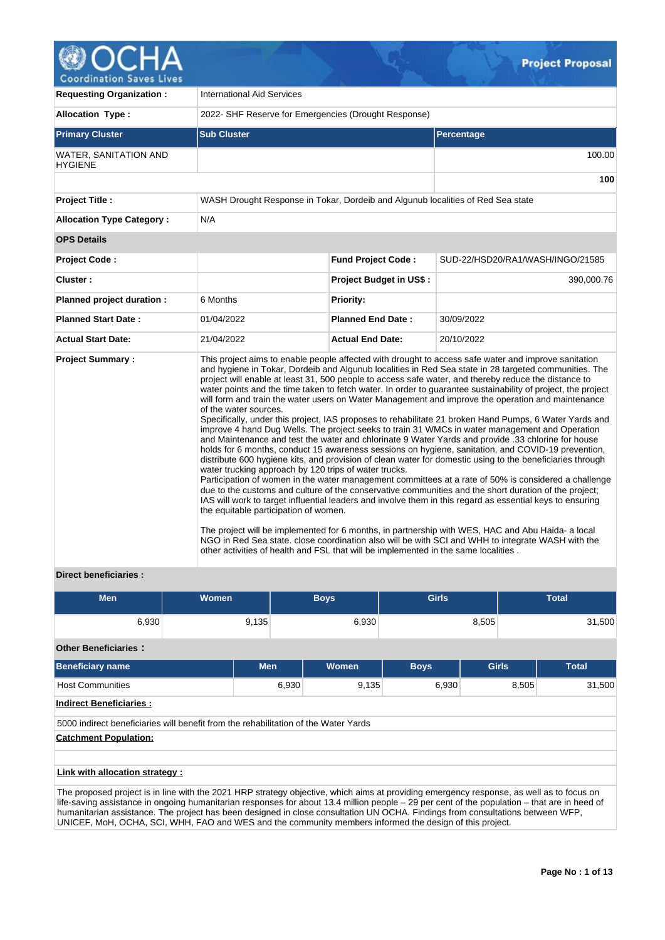

| <b>Requesting Organization:</b>         | <b>International Aid Services</b>                                                                                                                                                                              |                                |                                                                                                                                                                                                                                                                                                                                                                                                                                                                                                                                                                                                                                                                                                                                                                                                                                                                                                                                                                                                                                                                                                                                                                                                                                                                                                                                                                                                                                                                                                                                                                                                                         |  |  |  |  |  |  |  |
|-----------------------------------------|----------------------------------------------------------------------------------------------------------------------------------------------------------------------------------------------------------------|--------------------------------|-------------------------------------------------------------------------------------------------------------------------------------------------------------------------------------------------------------------------------------------------------------------------------------------------------------------------------------------------------------------------------------------------------------------------------------------------------------------------------------------------------------------------------------------------------------------------------------------------------------------------------------------------------------------------------------------------------------------------------------------------------------------------------------------------------------------------------------------------------------------------------------------------------------------------------------------------------------------------------------------------------------------------------------------------------------------------------------------------------------------------------------------------------------------------------------------------------------------------------------------------------------------------------------------------------------------------------------------------------------------------------------------------------------------------------------------------------------------------------------------------------------------------------------------------------------------------------------------------------------------------|--|--|--|--|--|--|--|
| <b>Allocation Type:</b>                 | 2022- SHF Reserve for Emergencies (Drought Response)                                                                                                                                                           |                                |                                                                                                                                                                                                                                                                                                                                                                                                                                                                                                                                                                                                                                                                                                                                                                                                                                                                                                                                                                                                                                                                                                                                                                                                                                                                                                                                                                                                                                                                                                                                                                                                                         |  |  |  |  |  |  |  |
| <b>Primary Cluster</b>                  | <b>Sub Cluster</b><br><b>Percentage</b>                                                                                                                                                                        |                                |                                                                                                                                                                                                                                                                                                                                                                                                                                                                                                                                                                                                                                                                                                                                                                                                                                                                                                                                                                                                                                                                                                                                                                                                                                                                                                                                                                                                                                                                                                                                                                                                                         |  |  |  |  |  |  |  |
| WATER, SANITATION AND<br><b>HYGIENE</b> |                                                                                                                                                                                                                |                                |                                                                                                                                                                                                                                                                                                                                                                                                                                                                                                                                                                                                                                                                                                                                                                                                                                                                                                                                                                                                                                                                                                                                                                                                                                                                                                                                                                                                                                                                                                                                                                                                                         |  |  |  |  |  |  |  |
|                                         |                                                                                                                                                                                                                |                                | 100                                                                                                                                                                                                                                                                                                                                                                                                                                                                                                                                                                                                                                                                                                                                                                                                                                                                                                                                                                                                                                                                                                                                                                                                                                                                                                                                                                                                                                                                                                                                                                                                                     |  |  |  |  |  |  |  |
| <b>Project Title:</b>                   | WASH Drought Response in Tokar, Dordeib and Algunub localities of Red Sea state                                                                                                                                |                                |                                                                                                                                                                                                                                                                                                                                                                                                                                                                                                                                                                                                                                                                                                                                                                                                                                                                                                                                                                                                                                                                                                                                                                                                                                                                                                                                                                                                                                                                                                                                                                                                                         |  |  |  |  |  |  |  |
| <b>Allocation Type Category:</b>        | N/A                                                                                                                                                                                                            |                                |                                                                                                                                                                                                                                                                                                                                                                                                                                                                                                                                                                                                                                                                                                                                                                                                                                                                                                                                                                                                                                                                                                                                                                                                                                                                                                                                                                                                                                                                                                                                                                                                                         |  |  |  |  |  |  |  |
| <b>OPS Details</b>                      |                                                                                                                                                                                                                |                                |                                                                                                                                                                                                                                                                                                                                                                                                                                                                                                                                                                                                                                                                                                                                                                                                                                                                                                                                                                                                                                                                                                                                                                                                                                                                                                                                                                                                                                                                                                                                                                                                                         |  |  |  |  |  |  |  |
| <b>Project Code:</b>                    |                                                                                                                                                                                                                | <b>Fund Project Code:</b>      | SUD-22/HSD20/RA1/WASH/INGO/21585                                                                                                                                                                                                                                                                                                                                                                                                                                                                                                                                                                                                                                                                                                                                                                                                                                                                                                                                                                                                                                                                                                                                                                                                                                                                                                                                                                                                                                                                                                                                                                                        |  |  |  |  |  |  |  |
| Cluster:                                |                                                                                                                                                                                                                | <b>Project Budget in US\$:</b> | 390,000.76                                                                                                                                                                                                                                                                                                                                                                                                                                                                                                                                                                                                                                                                                                                                                                                                                                                                                                                                                                                                                                                                                                                                                                                                                                                                                                                                                                                                                                                                                                                                                                                                              |  |  |  |  |  |  |  |
| Planned project duration :              | 6 Months                                                                                                                                                                                                       | <b>Priority:</b>               |                                                                                                                                                                                                                                                                                                                                                                                                                                                                                                                                                                                                                                                                                                                                                                                                                                                                                                                                                                                                                                                                                                                                                                                                                                                                                                                                                                                                                                                                                                                                                                                                                         |  |  |  |  |  |  |  |
| <b>Planned Start Date:</b>              | 01/04/2022                                                                                                                                                                                                     | <b>Planned End Date:</b>       | 30/09/2022                                                                                                                                                                                                                                                                                                                                                                                                                                                                                                                                                                                                                                                                                                                                                                                                                                                                                                                                                                                                                                                                                                                                                                                                                                                                                                                                                                                                                                                                                                                                                                                                              |  |  |  |  |  |  |  |
| <b>Actual Start Date:</b>               | 21/04/2022                                                                                                                                                                                                     | <b>Actual End Date:</b>        | 20/10/2022                                                                                                                                                                                                                                                                                                                                                                                                                                                                                                                                                                                                                                                                                                                                                                                                                                                                                                                                                                                                                                                                                                                                                                                                                                                                                                                                                                                                                                                                                                                                                                                                              |  |  |  |  |  |  |  |
| <b>Project Summary:</b>                 | of the water sources.<br>water trucking approach by 120 trips of water trucks.<br>the equitable participation of women.<br>other activities of health and FSL that will be implemented in the same localities. |                                | This project aims to enable people affected with drought to access safe water and improve sanitation<br>and hygiene in Tokar, Dordeib and Algunub localities in Red Sea state in 28 targeted communities. The<br>project will enable at least 31, 500 people to access safe water, and thereby reduce the distance to<br>water points and the time taken to fetch water. In order to guarantee sustainability of project, the project<br>will form and train the water users on Water Management and improve the operation and maintenance<br>Specifically, under this project, IAS proposes to rehabilitate 21 broken Hand Pumps, 6 Water Yards and<br>improve 4 hand Dug Wells. The project seeks to train 31 WMCs in water management and Operation<br>and Maintenance and test the water and chlorinate 9 Water Yards and provide .33 chlorine for house<br>holds for 6 months, conduct 15 awareness sessions on hygiene, sanitation, and COVID-19 prevention,<br>distribute 600 hygiene kits, and provision of clean water for domestic using to the beneficiaries through<br>Participation of women in the water management committees at a rate of 50% is considered a challenge<br>due to the customs and culture of the conservative communities and the short duration of the project;<br>IAS will work to target influential leaders and involve them in this regard as essential keys to ensuring<br>The project will be implemented for 6 months, in partnership with WES, HAC and Abu Haida- a local<br>NGO in Red Sea state. close coordination also will be with SCI and WHH to integrate WASH with the |  |  |  |  |  |  |  |

# **Direct beneficiaries :**

| <b>Men</b>                                                                          | Women |            | <b>Boys</b> | <b>Girls</b> |              | <b>Total</b>    |
|-------------------------------------------------------------------------------------|-------|------------|-------------|--------------|--------------|-----------------|
| 6,930                                                                               | 9,135 |            | 6,930       |              | 8,505        | 31,500          |
| <b>Other Beneficiaries:</b>                                                         |       |            |             |              |              |                 |
| <b>Beneficiary name</b>                                                             |       | <b>Men</b> | Women       | <b>Boys</b>  | <b>Girls</b> | <b>Total</b>    |
| <b>Host Communities</b>                                                             |       | 6,930      | 9,135       | 6,930        |              | 31,500<br>8,505 |
| <b>Indirect Beneficiaries:</b>                                                      |       |            |             |              |              |                 |
| 5000 indirect beneficiaries will benefit from the rehabilitation of the Water Yards |       |            |             |              |              |                 |
| <b>Catchment Population:</b>                                                        |       |            |             |              |              |                 |
|                                                                                     |       |            |             |              |              |                 |
| Link with allocation strategy :                                                     |       |            |             |              |              |                 |

The proposed project is in line with the 2021 HRP strategy objective, which aims at providing emergency response, as well as to focus on life-saving assistance in ongoing humanitarian responses for about 13.4 million people – 29 per cent of the population – that are in heed of humanitarian assistance. The project has been designed in close consultation UN OCHA. Findings from consultations between WFP, UNICEF, MoH, OCHA, SCI, WHH, FAO and WES and the community members informed the design of this project.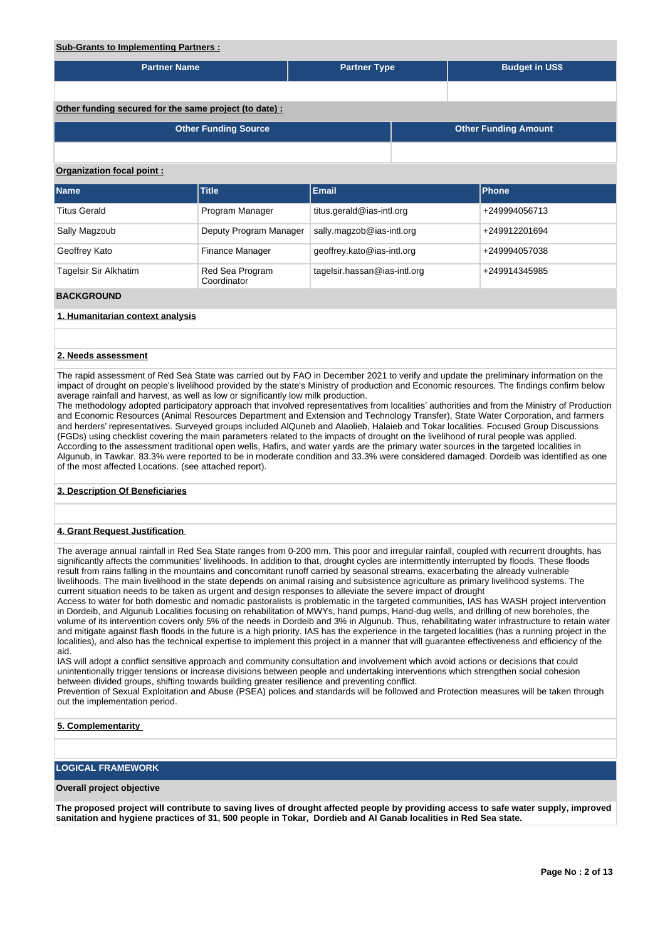| <b>Sub-Grants to Implementing Partners:</b>            |                                |                              |                             |  |                       |  |  |  |  |  |  |  |
|--------------------------------------------------------|--------------------------------|------------------------------|-----------------------------|--|-----------------------|--|--|--|--|--|--|--|
| <b>Partner Name</b>                                    |                                | <b>Partner Type</b>          |                             |  | <b>Budget in US\$</b> |  |  |  |  |  |  |  |
|                                                        |                                |                              |                             |  |                       |  |  |  |  |  |  |  |
| Other funding secured for the same project (to date) : |                                |                              |                             |  |                       |  |  |  |  |  |  |  |
| <b>Other Funding Source</b>                            |                                |                              | <b>Other Funding Amount</b> |  |                       |  |  |  |  |  |  |  |
|                                                        |                                |                              |                             |  |                       |  |  |  |  |  |  |  |
| Organization focal point:                              |                                |                              |                             |  |                       |  |  |  |  |  |  |  |
| Name                                                   | <b>Title</b>                   | <b>Email</b>                 |                             |  | Phone                 |  |  |  |  |  |  |  |
| <b>Titus Gerald</b>                                    | Program Manager                | titus.gerald@ias-intl.org    |                             |  | +249994056713         |  |  |  |  |  |  |  |
| Sally Magzoub                                          | Deputy Program Manager         | sally.magzob@ias-intl.org    |                             |  | +249912201694         |  |  |  |  |  |  |  |
| Geoffrey Kato                                          | Finance Manager                | geoffrey.kato@ias-intl.org   |                             |  | +249994057038         |  |  |  |  |  |  |  |
| Tagelsir Sir Alkhatim                                  | Red Sea Program<br>Coordinator | tagelsir.hassan@ias-intl.org |                             |  | +249914345985         |  |  |  |  |  |  |  |
| <b>BACKGROUND</b>                                      |                                |                              |                             |  |                       |  |  |  |  |  |  |  |
| 1. Humanitarian context analysis                       |                                |                              |                             |  |                       |  |  |  |  |  |  |  |
|                                                        |                                |                              |                             |  |                       |  |  |  |  |  |  |  |

#### **2. Needs assessment**

The rapid assessment of Red Sea State was carried out by FAO in December 2021 to verify and update the preliminary information on the impact of drought on people's livelihood provided by the state's Ministry of production and Economic resources. The findings confirm below average rainfall and harvest, as well as low or significantly low milk production.

The methodology adopted participatory approach that involved representatives from localities' authorities and from the Ministry of Production and Economic Resources (Animal Resources Department and Extension and Technology Transfer), State Water Corporation, and farmers and herders' representatives. Surveyed groups included AlQuneb and Alaolieb, Halaieb and Tokar localities. Focused Group Discussions (FGDs) using checklist covering the main parameters related to the impacts of drought on the livelihood of rural people was applied. According to the assessment traditional open wells, Hafirs, and water yards are the primary water sources in the targeted localities in Algunub, in Tawkar. 83.3% were reported to be in moderate condition and 33.3% were considered damaged. Dordeib was identified as one of the most affected Locations. (see attached report).

### **3. Description Of Beneficiaries**

# **4. Grant Request Justification**

The average annual rainfall in Red Sea State ranges from 0-200 mm. This poor and irregular rainfall, coupled with recurrent droughts, has significantly affects the communities' livelihoods. In addition to that, drought cycles are intermittently interrupted by floods. These floods result from rains falling in the mountains and concomitant runoff carried by seasonal streams, exacerbating the already vulnerable livelihoods. The main livelihood in the state depends on animal raising and subsistence agriculture as primary livelihood systems. The current situation needs to be taken as urgent and design responses to alleviate the severe impact of drought

Access to water for both domestic and nomadic pastoralists is problematic in the targeted communities, IAS has WASH project intervention in Dordeib, and Algunub Localities focusing on rehabilitation of MWYs, hand pumps, Hand-dug wells, and drilling of new boreholes, the volume of its intervention covers only 5% of the needs in Dordeib and 3% in Algunub. Thus, rehabilitating water infrastructure to retain water and mitigate against flash floods in the future is a high priority. IAS has the experience in the targeted localities (has a running project in the localities), and also has the technical expertise to implement this project in a manner that will guarantee effectiveness and efficiency of the aid.

IAS will adopt a conflict sensitive approach and community consultation and involvement which avoid actions or decisions that could unintentionally trigger tensions or increase divisions between people and undertaking interventions which strengthen social cohesion between divided groups, shifting towards building greater resilience and preventing conflict.

Prevention of Sexual Exploitation and Abuse (PSEA) polices and standards will be followed and Protection measures will be taken through out the implementation period.

# **5. Complementarity**

# **LOGICAL FRAMEWORK**

## **Overall project objective**

**The proposed project will contribute to saving lives of drought affected people by providing access to safe water supply, improved sanitation and hygiene practices of 31, 500 people in Tokar, Dordieb and Al Ganab localities in Red Sea state.**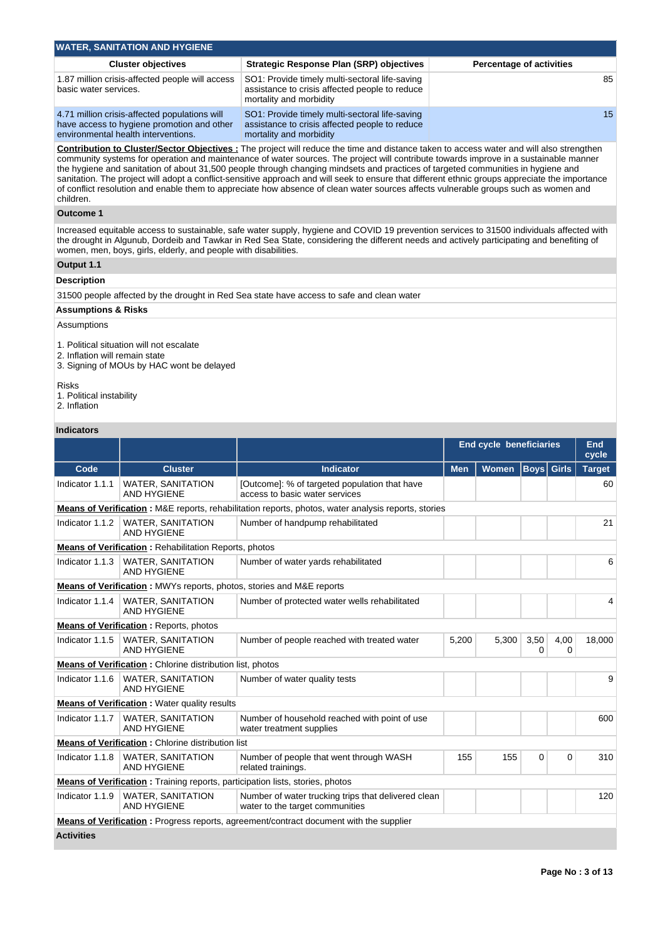| <b>WATER, SANITATION AND HYGIENE</b>                                                                                               |                                                                                                                             |                                 |  |  |  |  |  |  |  |  |  |  |
|------------------------------------------------------------------------------------------------------------------------------------|-----------------------------------------------------------------------------------------------------------------------------|---------------------------------|--|--|--|--|--|--|--|--|--|--|
| <b>Cluster objectives</b>                                                                                                          | Strategic Response Plan (SRP) objectives                                                                                    | <b>Percentage of activities</b> |  |  |  |  |  |  |  |  |  |  |
| 1.87 million crisis-affected people will access<br>basic water services.                                                           | SO1: Provide timely multi-sectoral life-saving<br>assistance to crisis affected people to reduce<br>mortality and morbidity | 85                              |  |  |  |  |  |  |  |  |  |  |
| 4.71 million crisis-affected populations will<br>have access to hygiene promotion and other<br>environmental health interventions. | SO1: Provide timely multi-sectoral life-saving<br>assistance to crisis affected people to reduce<br>mortality and morbidity | 15                              |  |  |  |  |  |  |  |  |  |  |

**Contribution to Cluster/Sector Objectives :** The project will reduce the time and distance taken to access water and will also strengthen community systems for operation and maintenance of water sources. The project will contribute towards improve in a sustainable manner the hygiene and sanitation of about 31,500 people through changing mindsets and practices of targeted communities in hygiene and sanitation. The project will adopt a conflict-sensitive approach and will seek to ensure that different ethnic groups appreciate the importance of conflict resolution and enable them to appreciate how absence of clean water sources affects vulnerable groups such as women and children.

# **Outcome 1**

Increased equitable access to sustainable, safe water supply, hygiene and COVID 19 prevention services to 31500 individuals affected with the drought in Algunub, Dordeib and Tawkar in Red Sea State, considering the different needs and actively participating and benefiting of women, men, boys, girls, elderly, and people with disabilities.

# **Output 1.1**

# **Description**

31500 people affected by the drought in Red Sea state have access to safe and clean water

#### **Assumptions & Risks**

# Assumptions

1. Political situation will not escalate

- 2. Inflation will remain state
- 3. Signing of MOUs by HAC wont be delayed

# Risks

- 1. Political instability
- 2. Inflation

## **Indicators**

|                   |                                                                                      |                                                                                                             |            | <b>End cycle beneficiaries</b> |                  |                  | End<br>cycle  |
|-------------------|--------------------------------------------------------------------------------------|-------------------------------------------------------------------------------------------------------------|------------|--------------------------------|------------------|------------------|---------------|
| Code              | <b>Cluster</b>                                                                       | <b>Indicator</b>                                                                                            | <b>Men</b> | Women   Boys   Girls           |                  |                  | <b>Target</b> |
| Indicator 1.1.1   | <b>WATER, SANITATION</b><br><b>AND HYGIENE</b>                                       | [Outcome]: % of targeted population that have<br>access to basic water services                             |            |                                |                  |                  | 60            |
|                   |                                                                                      | <b>Means of Verification</b> : M&E reports, rehabilitation reports, photos, water analysis reports, stories |            |                                |                  |                  |               |
| Indicator 1.1.2   | <b>WATER, SANITATION</b><br><b>AND HYGIENE</b>                                       | Number of handpump rehabilitated                                                                            |            |                                |                  |                  | 21            |
|                   | <b>Means of Verification: Rehabilitation Reports, photos</b>                         |                                                                                                             |            |                                |                  |                  |               |
| Indicator 1.1.3   | <b>WATER, SANITATION</b><br><b>AND HYGIENE</b>                                       | Number of water yards rehabilitated                                                                         |            |                                |                  |                  | 6             |
|                   | <b>Means of Verification:</b> MWYs reports, photos, stories and M&E reports          |                                                                                                             |            |                                |                  |                  |               |
| Indicator 1.1.4   | <b>WATER, SANITATION</b><br><b>AND HYGIENE</b>                                       | Number of protected water wells rehabilitated                                                               |            |                                |                  |                  | 4             |
|                   | <b>Means of Verification:</b> Reports, photos                                        |                                                                                                             |            |                                |                  |                  |               |
| Indicator 1.1.5   | <b>WATER, SANITATION</b><br><b>AND HYGIENE</b>                                       | Number of people reached with treated water                                                                 | 5,200      | 5,300                          | 3,50<br>$\Omega$ | 4,00<br>$\Omega$ | 18,000        |
|                   | <b>Means of Verification:</b> Chlorine distribution list, photos                     |                                                                                                             |            |                                |                  |                  |               |
| Indicator 1.1.6   | <b>WATER, SANITATION</b><br><b>AND HYGIENE</b>                                       | Number of water quality tests                                                                               |            |                                |                  |                  | 9             |
|                   | <b>Means of Verification: Water quality results</b>                                  |                                                                                                             |            |                                |                  |                  |               |
| Indicator 1.1.7   | <b>WATER, SANITATION</b><br><b>AND HYGIENE</b>                                       | Number of household reached with point of use<br>water treatment supplies                                   |            |                                |                  |                  | 600           |
|                   | <b>Means of Verification: Chlorine distribution list</b>                             |                                                                                                             |            |                                |                  |                  |               |
| Indicator 1.1.8   | <b>WATER, SANITATION</b><br><b>AND HYGIENE</b>                                       | Number of people that went through WASH<br>related trainings.                                               | 155        | 155                            | 0                | $\Omega$         | 310           |
|                   | <b>Means of Verification:</b> Training reports, participation lists, stories, photos |                                                                                                             |            |                                |                  |                  |               |
| Indicator 1.1.9   | <b>WATER, SANITATION</b><br><b>AND HYGIENE</b>                                       | Number of water trucking trips that delivered clean<br>water to the target communities                      |            |                                |                  |                  | 120           |
|                   |                                                                                      | <b>Means of Verification:</b> Progress reports, agreement/contract document with the supplier               |            |                                |                  |                  |               |
| <b>Activities</b> |                                                                                      |                                                                                                             |            |                                |                  |                  |               |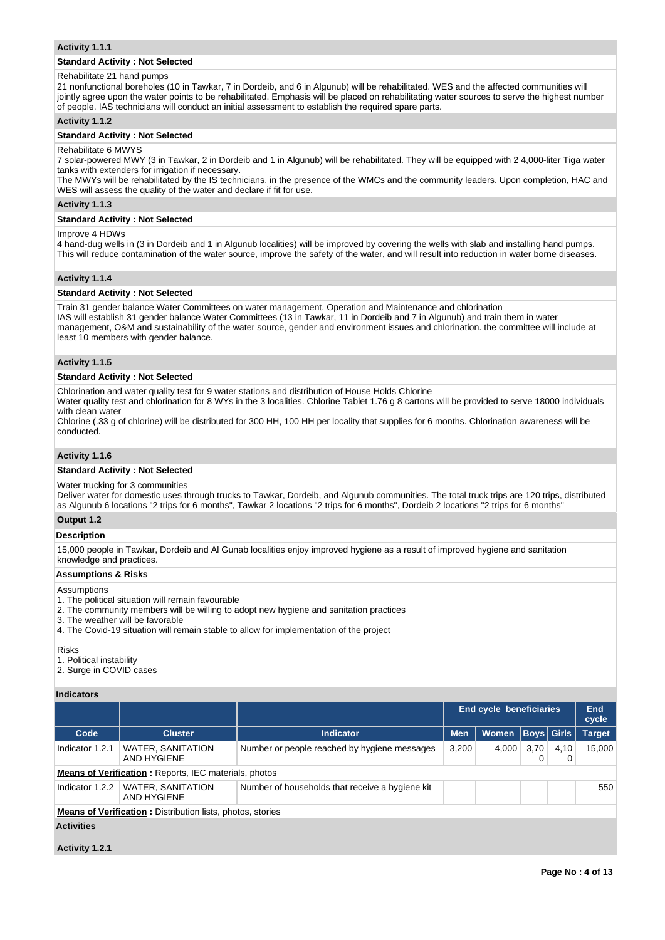#### **Activity 1.1.1**

## **Standard Activity : Not Selected**

#### Rehabilitate 21 hand pumps

21 nonfunctional boreholes (10 in Tawkar, 7 in Dordeib, and 6 in Algunub) will be rehabilitated. WES and the affected communities will jointly agree upon the water points to be rehabilitated. Emphasis will be placed on rehabilitating water sources to serve the highest number of people. IAS technicians will conduct an initial assessment to establish the required spare parts.

## **Activity 1.1.2**

# **Standard Activity : Not Selected**

#### Rehabilitate 6 MWYS

7 solar-powered MWY (3 in Tawkar, 2 in Dordeib and 1 in Algunub) will be rehabilitated. They will be equipped with 2 4,000-liter Tiga water tanks with extenders for irrigation if necessary.

The MWYs will be rehabilitated by the IS technicians, in the presence of the WMCs and the community leaders. Upon completion, HAC and WES will assess the quality of the water and declare if fit for use.

#### **Activity 1.1.3**

#### **Standard Activity : Not Selected**

#### Improve 4 HDWs

4 hand-dug wells in (3 in Dordeib and 1 in Algunub localities) will be improved by covering the wells with slab and installing hand pumps. This will reduce contamination of the water source, improve the safety of the water, and will result into reduction in water borne diseases.

#### **Activity 1.1.4**

#### **Standard Activity : Not Selected**

Train 31 gender balance Water Committees on water management, Operation and Maintenance and chlorination IAS will establish 31 gender balance Water Committees (13 in Tawkar, 11 in Dordeib and 7 in Algunub) and train them in water management, O&M and sustainability of the water source, gender and environment issues and chlorination. the committee will include at least 10 members with gender balance.

## **Activity 1.1.5**

#### **Standard Activity : Not Selected**

Chlorination and water quality test for 9 water stations and distribution of House Holds Chlorine

Water quality test and chlorination for 8 WYs in the 3 localities. Chlorine Tablet 1.76 g 8 cartons will be provided to serve 18000 individuals with clean water

Chlorine (.33 g of chlorine) will be distributed for 300 HH, 100 HH per locality that supplies for 6 months. Chlorination awareness will be conducted.

#### **Activity 1.1.6**

# **Standard Activity : Not Selected**

#### Water trucking for 3 communities

Deliver water for domestic uses through trucks to Tawkar, Dordeib, and Algunub communities. The total truck trips are 120 trips, distributed as Algunub 6 locations "2 trips for 6 months", Tawkar 2 locations "2 trips for 6 months", Dordeib 2 locations "2 trips for 6 months"

#### **Output 1.2**

#### **Description**

15,000 people in Tawkar, Dordeib and Al Gunab localities enjoy improved hygiene as a result of improved hygiene and sanitation knowledge and practices.

#### **Assumptions & Risks**

#### Assumptions

- 1. The political situation will remain favourable
- 2. The community members will be willing to adopt new hygiene and sanitation practices
- 3. The weather will be favorable
- 4. The Covid-19 situation will remain stable to allow for implementation of the project

#### Risks

- 1. Political instability
- 2. Surge in COVID cases

# **Indicators**

|                   |                                                                   |                                                 |            | End cycle beneficiaries |                   |      | <b>End</b><br>cycle |
|-------------------|-------------------------------------------------------------------|-------------------------------------------------|------------|-------------------------|-------------------|------|---------------------|
| Code              | <b>Cluster</b>                                                    | <b>Indicator</b>                                | <b>Men</b> | Women                   | <b>Boys Girls</b> |      | <b>Target</b>       |
| Indicator 1.2.1   | <b>WATER, SANITATION</b><br>AND HYGIENE                           | Number or people reached by hygiene messages    | 3,200      | 4.000                   | 3.70              | 4.10 | 15.000              |
|                   | <b>Means of Verification:</b> Reports, IEC materials, photos      |                                                 |            |                         |                   |      |                     |
| Indicator 1.2.2   | <b>WATER, SANITATION</b><br>AND HYGIENE                           | Number of households that receive a hygiene kit |            |                         |                   |      | 550                 |
|                   | <b>Means of Verification:</b> Distribution lists, photos, stories |                                                 |            |                         |                   |      |                     |
| <b>Activities</b> |                                                                   |                                                 |            |                         |                   |      |                     |

# **Activity 1.2.1**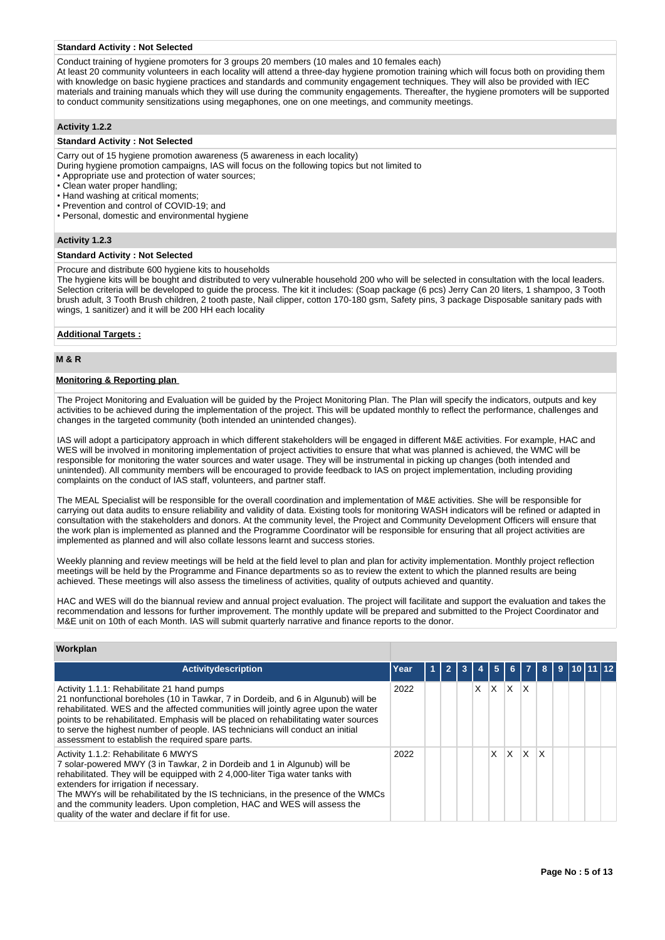#### **Standard Activity : Not Selected**

Conduct training of hygiene promoters for 3 groups 20 members (10 males and 10 females each)

At least 20 community volunteers in each locality will attend a three-day hygiene promotion training which will focus both on providing them with knowledge on basic hygiene practices and standards and community engagement techniques. They will also be provided with IEC materials and training manuals which they will use during the community engagements. Thereafter, the hygiene promoters will be supported to conduct community sensitizations using megaphones, one on one meetings, and community meetings.

# **Activity 1.2.2**

#### **Standard Activity : Not Selected**

Carry out of 15 hygiene promotion awareness (5 awareness in each locality)

- During hygiene promotion campaigns, IAS will focus on the following topics but not limited to
- Appropriate use and protection of water sources;
- Clean water proper handling;
- Hand washing at critical moments;
- Prevention and control of COVID-19; and
- Personal, domestic and environmental hygiene

#### **Activity 1.2.3**

# **Standard Activity : Not Selected**

#### Procure and distribute 600 hygiene kits to households

The hygiene kits will be bought and distributed to very vulnerable household 200 who will be selected in consultation with the local leaders. Selection criteria will be developed to guide the process. The kit it includes: (Soap package (6 pcs) Jerry Can 20 liters, 1 shampoo, 3 Tooth brush adult, 3 Tooth Brush children, 2 tooth paste, Nail clipper, cotton 170-180 gsm, Safety pins, 3 package Disposable sanitary pads with wings, 1 sanitizer) and it will be 200 HH each locality

## **Additional Targets :**

# **M & R**

#### **Monitoring & Reporting plan**

The Project Monitoring and Evaluation will be guided by the Project Monitoring Plan. The Plan will specify the indicators, outputs and key activities to be achieved during the implementation of the project. This will be updated monthly to reflect the performance, challenges and changes in the targeted community (both intended an unintended changes).

IAS will adopt a participatory approach in which different stakeholders will be engaged in different M&E activities. For example, HAC and WES will be involved in monitoring implementation of project activities to ensure that what was planned is achieved, the WMC will be responsible for monitoring the water sources and water usage. They will be instrumental in picking up changes (both intended and unintended). All community members will be encouraged to provide feedback to IAS on project implementation, including providing complaints on the conduct of IAS staff, volunteers, and partner staff.

The MEAL Specialist will be responsible for the overall coordination and implementation of M&E activities. She will be responsible for carrying out data audits to ensure reliability and validity of data. Existing tools for monitoring WASH indicators will be refined or adapted in consultation with the stakeholders and donors. At the community level, the Project and Community Development Officers will ensure that the work plan is implemented as planned and the Programme Coordinator will be responsible for ensuring that all project activities are implemented as planned and will also collate lessons learnt and success stories.

Weekly planning and review meetings will be held at the field level to plan and plan for activity implementation. Monthly project reflection meetings will be held by the Programme and Finance departments so as to review the extent to which the planned results are being achieved. These meetings will also assess the timeliness of activities, quality of outputs achieved and quantity.

HAC and WES will do the biannual review and annual project evaluation. The project will facilitate and support the evaluation and takes the recommendation and lessons for further improvement. The monthly update will be prepared and submitted to the Project Coordinator and M&E unit on 10th of each Month. IAS will submit quarterly narrative and finance reports to the donor.

# **Workplan**

| <b>Activitydescription</b>                                                                                                                                                                                                                                                                                                                                                                                                                                     | Year |  | 3 |   | 5.  | -6 I    | -7       | 8 <sup>1</sup> | -9 | ∣10 I |  |
|----------------------------------------------------------------------------------------------------------------------------------------------------------------------------------------------------------------------------------------------------------------------------------------------------------------------------------------------------------------------------------------------------------------------------------------------------------------|------|--|---|---|-----|---------|----------|----------------|----|-------|--|
| Activity 1.1.1: Rehabilitate 21 hand pumps<br>21 nonfunctional boreholes (10 in Tawkar, 7 in Dordeib, and 6 in Algunub) will be<br>rehabilitated. WES and the affected communities will jointly agree upon the water<br>points to be rehabilitated. Emphasis will be placed on rehabilitating water sources<br>to serve the highest number of people. IAS technicians will conduct an initial<br>assessment to establish the required spare parts.             | 2022 |  |   | X | ΙX. | $X$ $X$ |          |                |    |       |  |
| Activity 1.1.2: Rehabilitate 6 MWYS<br>7 solar-powered MWY (3 in Tawkar, 2 in Dordeib and 1 in Algunub) will be<br>rehabilitated. They will be equipped with 2 4,000-liter Tiga water tanks with<br>extenders for irrigation if necessary.<br>The MWYs will be rehabilitated by the IS technicians, in the presence of the WMCs<br>and the community leaders. Upon completion, HAC and WES will assess the<br>quality of the water and declare if fit for use. | 2022 |  |   |   | X   | IX I    | <b>X</b> | $\mathsf{X}$   |    |       |  |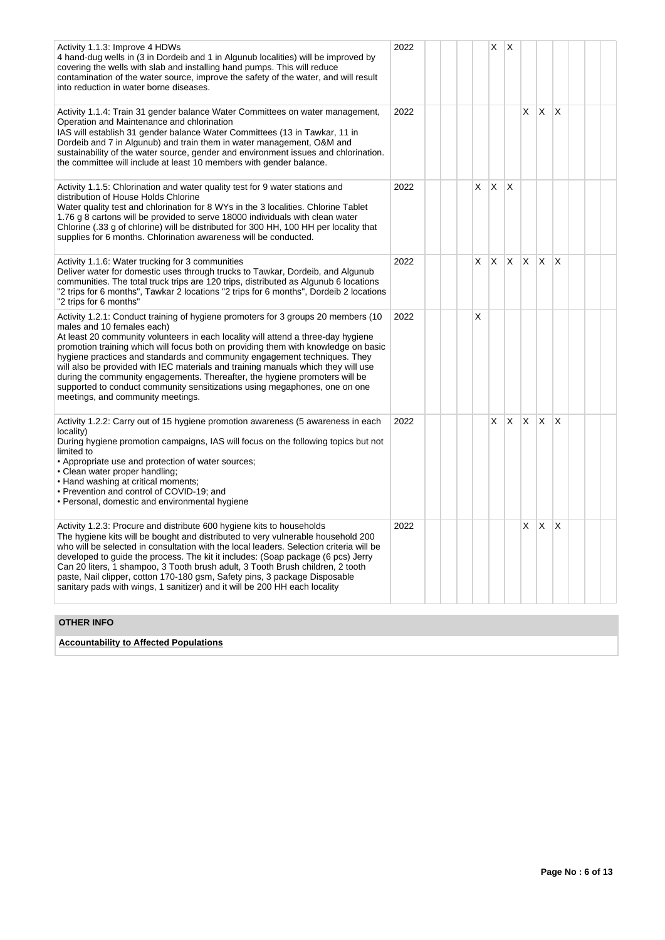| Activity 1.1.3: Improve 4 HDWs<br>4 hand-dug wells in (3 in Dordeib and 1 in Algunub localities) will be improved by<br>covering the wells with slab and installing hand pumps. This will reduce<br>contamination of the water source, improve the safety of the water, and will result<br>into reduction in water borne diseases.                                                                                                                                                                                                                                                                                                                             | 2022 |    | X  | X            |              |              |              |  |  |
|----------------------------------------------------------------------------------------------------------------------------------------------------------------------------------------------------------------------------------------------------------------------------------------------------------------------------------------------------------------------------------------------------------------------------------------------------------------------------------------------------------------------------------------------------------------------------------------------------------------------------------------------------------------|------|----|----|--------------|--------------|--------------|--------------|--|--|
| Activity 1.1.4: Train 31 gender balance Water Committees on water management,<br>Operation and Maintenance and chlorination<br>IAS will establish 31 gender balance Water Committees (13 in Tawkar, 11 in<br>Dordeib and 7 in Algunub) and train them in water management, O&M and<br>sustainability of the water source, gender and environment issues and chlorination.<br>the committee will include at least 10 members with gender balance.                                                                                                                                                                                                               | 2022 |    |    |              | X            | X            | X            |  |  |
| Activity 1.1.5: Chlorination and water quality test for 9 water stations and<br>distribution of House Holds Chlorine<br>Water quality test and chlorination for 8 WYs in the 3 localities. Chlorine Tablet<br>1.76 g 8 cartons will be provided to serve 18000 individuals with clean water<br>Chlorine (.33 g of chlorine) will be distributed for 300 HH, 100 HH per locality that<br>supplies for 6 months. Chlorination awareness will be conducted.                                                                                                                                                                                                       | 2022 | X. | X  | Х            |              |              |              |  |  |
| Activity 1.1.6: Water trucking for 3 communities<br>Deliver water for domestic uses through trucks to Tawkar, Dordeib, and Algunub<br>communities. The total truck trips are 120 trips, distributed as Algunub 6 locations<br>"2 trips for 6 months", Tawkar 2 locations "2 trips for 6 months", Dordeib 2 locations<br>"2 trips for 6 months"                                                                                                                                                                                                                                                                                                                 | 2022 | X. | X. | $ X $ $ X $  |              |              | <sup>X</sup> |  |  |
| Activity 1.2.1: Conduct training of hygiene promoters for 3 groups 20 members (10<br>males and 10 females each)<br>At least 20 community volunteers in each locality will attend a three-day hygiene<br>promotion training which will focus both on providing them with knowledge on basic<br>hygiene practices and standards and community engagement techniques. They<br>will also be provided with IEC materials and training manuals which they will use<br>during the community engagements. Thereafter, the hygiene promoters will be<br>supported to conduct community sensitizations using megaphones, one on one<br>meetings, and community meetings. | 2022 | X  |    |              |              |              |              |  |  |
| Activity 1.2.2: Carry out of 15 hygiene promotion awareness (5 awareness in each<br>locality)<br>During hygiene promotion campaigns, IAS will focus on the following topics but not<br>limited to<br>• Appropriate use and protection of water sources;<br>• Clean water proper handling;<br>• Hand washing at critical moments;<br>• Prevention and control of COVID-19; and<br>• Personal, domestic and environmental hygiene                                                                                                                                                                                                                                | 2022 |    | X. | $\mathsf{X}$ | $\mathsf{X}$ | X            | X            |  |  |
| Activity 1.2.3: Procure and distribute 600 hygiene kits to households<br>The hygiene kits will be bought and distributed to very vulnerable household 200<br>who will be selected in consultation with the local leaders. Selection criteria will be<br>developed to guide the process. The kit it includes: (Soap package (6 pcs) Jerry<br>Can 20 liters, 1 shampoo, 3 Tooth brush adult, 3 Tooth Brush children, 2 tooth<br>paste, Nail clipper, cotton 170-180 gsm, Safety pins, 3 package Disposable<br>sanitary pads with wings, 1 sanitizer) and it will be 200 HH each locality                                                                         | 2022 |    |    |              | X            | $\mathsf{X}$ | ΙX           |  |  |
| <b>OTHER INFO</b>                                                                                                                                                                                                                                                                                                                                                                                                                                                                                                                                                                                                                                              |      |    |    |              |              |              |              |  |  |

**Accountability to Affected Populations**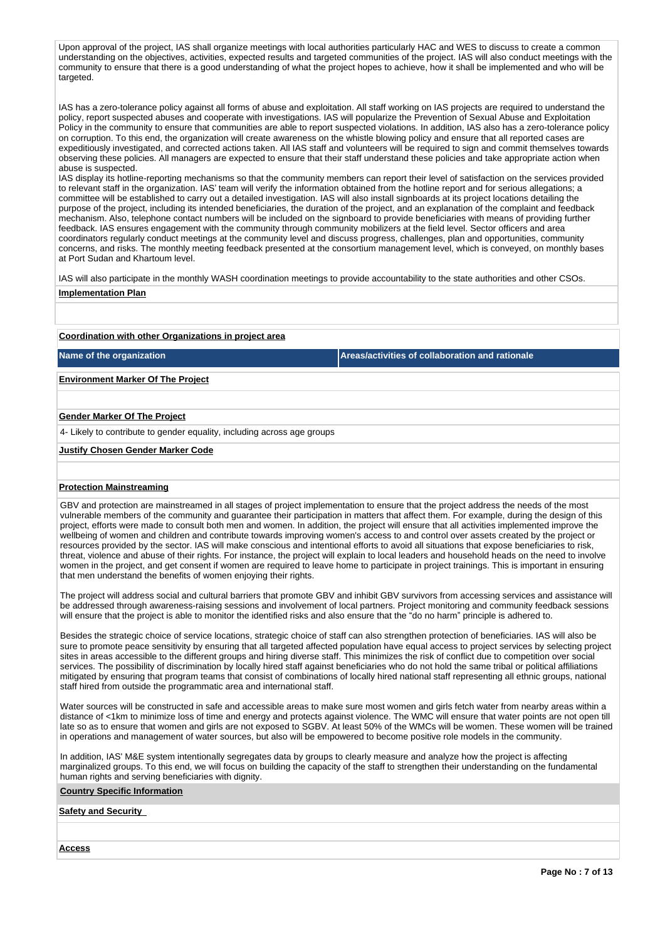Upon approval of the project, IAS shall organize meetings with local authorities particularly HAC and WES to discuss to create a common understanding on the objectives, activities, expected results and targeted communities of the project. IAS will also conduct meetings with the community to ensure that there is a good understanding of what the project hopes to achieve, how it shall be implemented and who will be targeted.

IAS has a zero-tolerance policy against all forms of abuse and exploitation. All staff working on IAS projects are required to understand the policy, report suspected abuses and cooperate with investigations. IAS will popularize the Prevention of Sexual Abuse and Exploitation Policy in the community to ensure that communities are able to report suspected violations. In addition, IAS also has a zero-tolerance policy on corruption. To this end, the organization will create awareness on the whistle blowing policy and ensure that all reported cases are expeditiously investigated, and corrected actions taken. All IAS staff and volunteers will be required to sign and commit themselves towards observing these policies. All managers are expected to ensure that their staff understand these policies and take appropriate action when abuse is suspected.

IAS display its hotline-reporting mechanisms so that the community members can report their level of satisfaction on the services provided to relevant staff in the organization. IAS' team will verify the information obtained from the hotline report and for serious allegations; a committee will be established to carry out a detailed investigation. IAS will also install signboards at its project locations detailing the purpose of the project, including its intended beneficiaries, the duration of the project, and an explanation of the complaint and feedback mechanism. Also, telephone contact numbers will be included on the signboard to provide beneficiaries with means of providing further feedback. IAS ensures engagement with the community through community mobilizers at the field level. Sector officers and area coordinators regularly conduct meetings at the community level and discuss progress, challenges, plan and opportunities, community concerns, and risks. The monthly meeting feedback presented at the consortium management level, which is conveyed, on monthly bases at Port Sudan and Khartoum level.

IAS will also participate in the monthly WASH coordination meetings to provide accountability to the state authorities and other CSOs. **Implementation Plan**

# **Coordination with other Organizations in project area**

**Name of the organization Areas/activities of collaboration and rationale** 

# **Environment Marker Of The Project**

#### **Gender Marker Of The Project**

4- Likely to contribute to gender equality, including across age groups

#### **Justify Chosen Gender Marker Code**

# **Protection Mainstreaming**

GBV and protection are mainstreamed in all stages of project implementation to ensure that the project address the needs of the most vulnerable members of the community and guarantee their participation in matters that affect them. For example, during the design of this project, efforts were made to consult both men and women. In addition, the project will ensure that all activities implemented improve the wellbeing of women and children and contribute towards improving women's access to and control over assets created by the project or resources provided by the sector. IAS will make conscious and intentional efforts to avoid all situations that expose beneficiaries to risk, threat, violence and abuse of their rights. For instance, the project will explain to local leaders and household heads on the need to involve women in the project, and get consent if women are required to leave home to participate in project trainings. This is important in ensuring that men understand the benefits of women enjoying their rights.

The project will address social and cultural barriers that promote GBV and inhibit GBV survivors from accessing services and assistance will be addressed through awareness-raising sessions and involvement of local partners. Project monitoring and community feedback sessions will ensure that the project is able to monitor the identified risks and also ensure that the "do no harm" principle is adhered to.

Besides the strategic choice of service locations, strategic choice of staff can also strengthen protection of beneficiaries. IAS will also be sure to promote peace sensitivity by ensuring that all targeted affected population have equal access to project services by selecting project sites in areas accessible to the different groups and hiring diverse staff. This minimizes the risk of conflict due to competition over social services. The possibility of discrimination by locally hired staff against beneficiaries who do not hold the same tribal or political affiliations mitigated by ensuring that program teams that consist of combinations of locally hired national staff representing all ethnic groups, national staff hired from outside the programmatic area and international staff.

Water sources will be constructed in safe and accessible areas to make sure most women and girls fetch water from nearby areas within a distance of <1km to minimize loss of time and energy and protects against violence. The WMC will ensure that water points are not open till late so as to ensure that women and girls are not exposed to SGBV. At least 50% of the WMCs will be women. These women will be trained in operations and management of water sources, but also will be empowered to become positive role models in the community.

In addition, IAS' M&E system intentionally segregates data by groups to clearly measure and analyze how the project is affecting marginalized groups. To this end, we will focus on building the capacity of the staff to strengthen their understanding on the fundamental human rights and serving beneficiaries with dignity.

## **Country Specific Information**

# **Safety and Security**

**Access**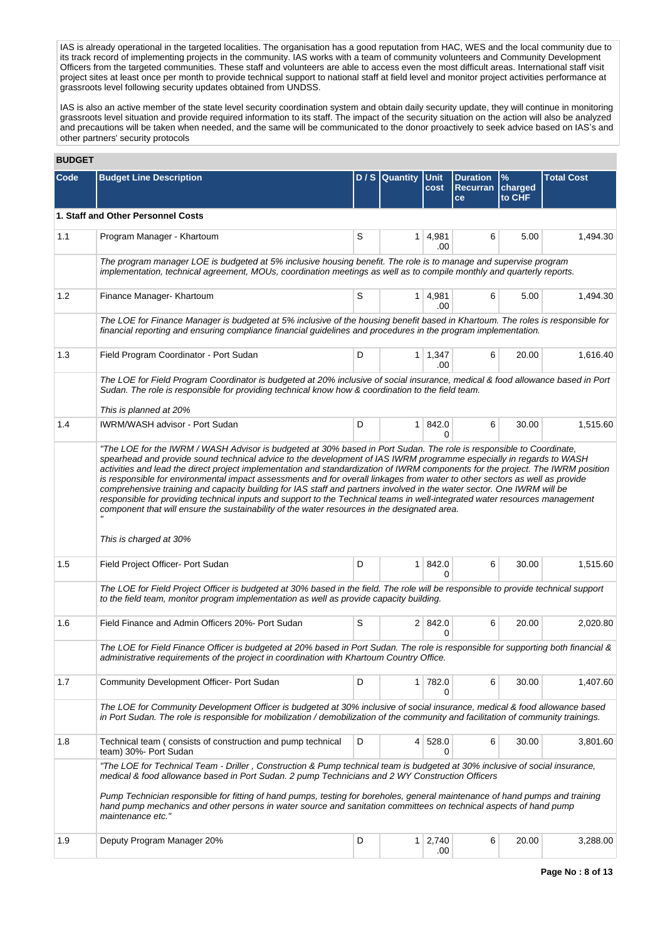IAS is already operational in the targeted localities. The organisation has a good reputation from HAC, WES and the local community due to its track record of implementing projects in the community. IAS works with a team of community volunteers and Community Development Officers from the targeted communities. These staff and volunteers are able to access even the most difficult areas. International staff visit project sites at least once per month to provide technical support to national staff at field level and monitor project activities performance at grassroots level following security updates obtained from UNDSS.

IAS is also an active member of the state level security coordination system and obtain daily security update, they will continue in monitoring grassroots level situation and provide required information to its staff. The impact of the security situation on the action will also be analyzed and precautions will be taken when needed, and the same will be communicated to the donor proactively to seek advice based on IAS's and other partners' security protocols

| <b>BUDGET</b> |                                                                                                                                                                                                                                                                                                                                                                                                                                                                                                                                                                                                                                                                                                                                                                                                                                                                                                 |   |              |                       |                                          |                        |                   |
|---------------|-------------------------------------------------------------------------------------------------------------------------------------------------------------------------------------------------------------------------------------------------------------------------------------------------------------------------------------------------------------------------------------------------------------------------------------------------------------------------------------------------------------------------------------------------------------------------------------------------------------------------------------------------------------------------------------------------------------------------------------------------------------------------------------------------------------------------------------------------------------------------------------------------|---|--------------|-----------------------|------------------------------------------|------------------------|-------------------|
| Code          | <b>Budget Line Description</b>                                                                                                                                                                                                                                                                                                                                                                                                                                                                                                                                                                                                                                                                                                                                                                                                                                                                  |   | D/S Quantity | <b>Unit</b><br>cost   | <b>Duration</b><br><b>Recurran</b><br>ce | %<br>charged<br>to CHF | <b>Total Cost</b> |
|               | 1. Staff and Other Personnel Costs                                                                                                                                                                                                                                                                                                                                                                                                                                                                                                                                                                                                                                                                                                                                                                                                                                                              |   |              |                       |                                          |                        |                   |
| 1.1           | Program Manager - Khartoum                                                                                                                                                                                                                                                                                                                                                                                                                                                                                                                                                                                                                                                                                                                                                                                                                                                                      | S | 1.           | 4,981<br>.00.         | 6                                        | 5.00                   | 1,494.30          |
|               | The program manager LOE is budgeted at 5% inclusive housing benefit. The role is to manage and supervise program<br>implementation, technical agreement, MOUs, coordination meetings as well as to compile monthly and quarterly reports.                                                                                                                                                                                                                                                                                                                                                                                                                                                                                                                                                                                                                                                       |   |              |                       |                                          |                        |                   |
| 1.2           | Finance Manager- Khartoum                                                                                                                                                                                                                                                                                                                                                                                                                                                                                                                                                                                                                                                                                                                                                                                                                                                                       | S | 1.           | 4,981<br>.00          | 6                                        | 5.00                   | 1,494.30          |
|               | The LOE for Finance Manager is budgeted at 5% inclusive of the housing benefit based in Khartoum. The roles is responsible for<br>financial reporting and ensuring compliance financial guidelines and procedures in the program implementation.                                                                                                                                                                                                                                                                                                                                                                                                                                                                                                                                                                                                                                                |   |              |                       |                                          |                        |                   |
| 1.3           | Field Program Coordinator - Port Sudan                                                                                                                                                                                                                                                                                                                                                                                                                                                                                                                                                                                                                                                                                                                                                                                                                                                          | D |              | 1   1,347<br>.00      | 6                                        | 20.00                  | 1,616.40          |
|               | The LOE for Field Program Coordinator is budgeted at 20% inclusive of social insurance, medical & food allowance based in Port<br>Sudan. The role is responsible for providing technical know how & coordination to the field team.<br>This is planned at 20%                                                                                                                                                                                                                                                                                                                                                                                                                                                                                                                                                                                                                                   |   |              |                       |                                          |                        |                   |
| 1.4           | IWRM/WASH advisor - Port Sudan                                                                                                                                                                                                                                                                                                                                                                                                                                                                                                                                                                                                                                                                                                                                                                                                                                                                  | D | 1            | 842.0<br>0            | 6                                        | 30.00                  | 1,515.60          |
|               | "The LOE for the IWRM / WASH Advisor is budgeted at 30% based in Port Sudan. The role is responsible to Coordinate,<br>spearhead and provide sound technical advice to the development of IAS IWRM programme especially in regards to WASH<br>activities and lead the direct project implementation and standardization of IWRM components for the project. The IWRM position<br>is responsible for environmental impact assessments and for overall linkages from water to other sectors as well as provide<br>comprehensive training and capacity building for IAS staff and partners involved in the water sector. One IWRM will be<br>responsible for providing technical inputs and support to the Technical teams in well-integrated water resources management<br>component that will ensure the sustainability of the water resources in the designated area.<br>This is charged at 30% |   |              |                       |                                          |                        |                   |
| 1.5           | Field Project Officer- Port Sudan                                                                                                                                                                                                                                                                                                                                                                                                                                                                                                                                                                                                                                                                                                                                                                                                                                                               | D | 1            | 842.0<br>0            | 6                                        | 30.00                  | 1,515.60          |
|               | The LOE for Field Project Officer is budgeted at 30% based in the field. The role will be responsible to provide technical support<br>to the field team, monitor program implementation as well as provide capacity building.                                                                                                                                                                                                                                                                                                                                                                                                                                                                                                                                                                                                                                                                   |   |              |                       |                                          |                        |                   |
| 1.6           | Field Finance and Admin Officers 20%- Port Sudan                                                                                                                                                                                                                                                                                                                                                                                                                                                                                                                                                                                                                                                                                                                                                                                                                                                | S |              | $2 \mid 842.0$        | 6                                        | 20.00                  | 2,020.80          |
|               | The LOE for Field Finance Officer is budgeted at 20% based in Port Sudan. The role is responsible for supporting both financial &<br>administrative requirements of the project in coordination with Khartoum Country Office.                                                                                                                                                                                                                                                                                                                                                                                                                                                                                                                                                                                                                                                                   |   |              |                       |                                          |                        |                   |
| 1.7           | Community Development Officer- Port Sudan                                                                                                                                                                                                                                                                                                                                                                                                                                                                                                                                                                                                                                                                                                                                                                                                                                                       | D | 1            | 782.0<br>0            | 6                                        | 30.00                  | 1,407.60          |
|               | The LOE for Community Development Officer is budgeted at 30% inclusive of social insurance, medical & food allowance based<br>in Port Sudan. The role is responsible for mobilization / demobilization of the community and facilitation of community trainings.                                                                                                                                                                                                                                                                                                                                                                                                                                                                                                                                                                                                                                |   |              |                       |                                          |                        |                   |
| 1.8           | Technical team (consists of construction and pump technical<br>team) 30%- Port Sudan                                                                                                                                                                                                                                                                                                                                                                                                                                                                                                                                                                                                                                                                                                                                                                                                            | D |              | 4 528.0<br>0          | 6                                        | 30.00                  | 3,801.60          |
|               | "The LOE for Technical Team - Driller, Construction & Pump technical team is budgeted at 30% inclusive of social insurance,<br>medical & food allowance based in Port Sudan. 2 pump Technicians and 2 WY Construction Officers<br>Pump Technician responsible for fitting of hand pumps, testing for boreholes, general maintenance of hand pumps and training<br>hand pump mechanics and other persons in water source and sanitation committees on technical aspects of hand pump<br>maintenance etc."                                                                                                                                                                                                                                                                                                                                                                                        |   |              |                       |                                          |                        |                   |
| 1.9           | Deputy Program Manager 20%                                                                                                                                                                                                                                                                                                                                                                                                                                                                                                                                                                                                                                                                                                                                                                                                                                                                      | D |              | $1 \overline{)2,740}$ | 6                                        | 20.00                  | 3,288.00          |
|               |                                                                                                                                                                                                                                                                                                                                                                                                                                                                                                                                                                                                                                                                                                                                                                                                                                                                                                 |   |              | .00                   |                                          |                        |                   |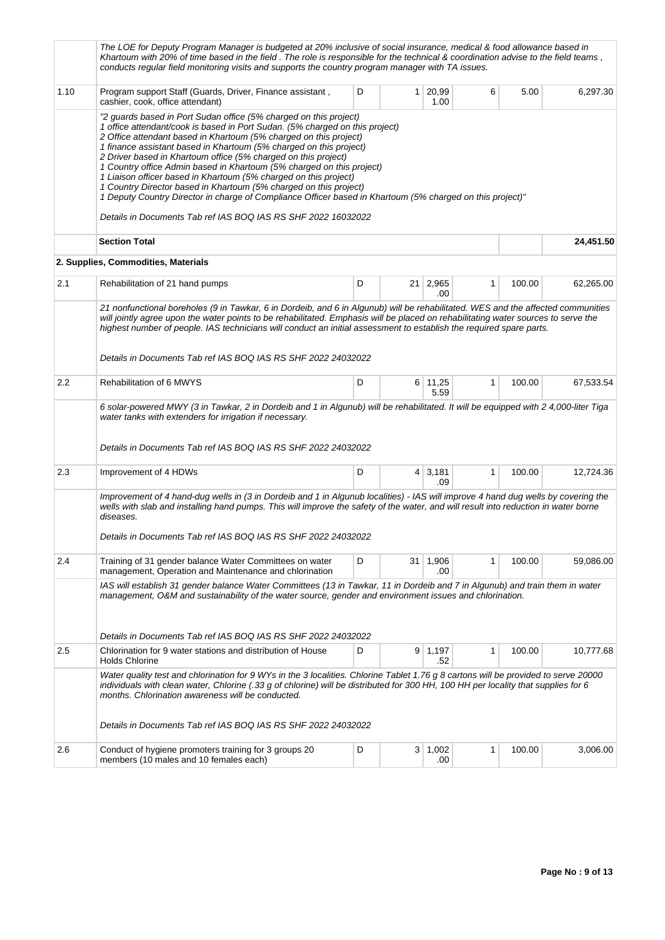|         | The LOE for Deputy Program Manager is budgeted at 20% inclusive of social insurance, medical & food allowance based in<br>Khartoum with 20% of time based in the field. The role is responsible for the technical & coordination advise to the field teams,<br>conducts regular field monitoring visits and supports the country program manager with TA issues.                                                                                                                                                                                                                                                                                                                                                                                               |   |              |                       |              |        |           |
|---------|----------------------------------------------------------------------------------------------------------------------------------------------------------------------------------------------------------------------------------------------------------------------------------------------------------------------------------------------------------------------------------------------------------------------------------------------------------------------------------------------------------------------------------------------------------------------------------------------------------------------------------------------------------------------------------------------------------------------------------------------------------------|---|--------------|-----------------------|--------------|--------|-----------|
| 1.10    | Program support Staff (Guards, Driver, Finance assistant,<br>cashier, cook, office attendant)                                                                                                                                                                                                                                                                                                                                                                                                                                                                                                                                                                                                                                                                  | D | $\mathbf{1}$ | 20,99<br>1.00         | 6            | 5.00   | 6,297.30  |
|         | "2 guards based in Port Sudan office (5% charged on this project)<br>1 office attendant/cook is based in Port Sudan. (5% charged on this project)<br>2 Office attendant based in Khartoum (5% charged on this project)<br>1 finance assistant based in Khartoum (5% charged on this project)<br>2 Driver based in Khartoum office (5% charged on this project)<br>1 Country office Admin based in Khartoum (5% charged on this project)<br>1 Liaison officer based in Khartoum (5% charged on this project)<br>1 Country Director based in Khartoum (5% charged on this project)<br>1 Deputy Country Director in charge of Compliance Officer based in Khartoum (5% charged on this project)"<br>Details in Documents Tab ref IAS BOQ IAS RS SHF 2022 16032022 |   |              |                       |              |        |           |
|         | <b>Section Total</b>                                                                                                                                                                                                                                                                                                                                                                                                                                                                                                                                                                                                                                                                                                                                           |   |              |                       |              |        | 24,451.50 |
|         | 2. Supplies, Commodities, Materials                                                                                                                                                                                                                                                                                                                                                                                                                                                                                                                                                                                                                                                                                                                            |   |              |                       |              |        |           |
| 2.1     | Rehabilitation of 21 hand pumps                                                                                                                                                                                                                                                                                                                                                                                                                                                                                                                                                                                                                                                                                                                                | D |              | 21 2,965<br>.00       | 1            | 100.00 | 62,265.00 |
|         | 21 nonfunctional boreholes (9 in Tawkar, 6 in Dordeib, and 6 in Algunub) will be rehabilitated. WES and the affected communities<br>will jointly agree upon the water points to be rehabilitated. Emphasis will be placed on rehabilitating water sources to serve the<br>highest number of people. IAS technicians will conduct an initial assessment to establish the required spare parts.<br>Details in Documents Tab ref IAS BOQ IAS RS SHF 2022 24032022                                                                                                                                                                                                                                                                                                 |   |              |                       |              |        |           |
| $2.2\,$ | Rehabilitation of 6 MWYS                                                                                                                                                                                                                                                                                                                                                                                                                                                                                                                                                                                                                                                                                                                                       | D |              | 6 11,25<br>5.59       | 1            | 100.00 | 67,533.54 |
|         | 6 solar-powered MWY (3 in Tawkar, 2 in Dordeib and 1 in Algunub) will be rehabilitated. It will be equipped with 2 4,000-liter Tiga<br>water tanks with extenders for irrigation if necessary.<br>Details in Documents Tab ref IAS BOQ IAS RS SHF 2022 24032022                                                                                                                                                                                                                                                                                                                                                                                                                                                                                                |   |              |                       |              |        |           |
| 2.3     | Improvement of 4 HDWs                                                                                                                                                                                                                                                                                                                                                                                                                                                                                                                                                                                                                                                                                                                                          | D |              | 4 3,181<br>.09        | 1            | 100.00 | 12,724.36 |
|         | Improvement of 4 hand-dug wells in (3 in Dordeib and 1 in Algunub localities) - IAS will improve 4 hand dug wells by covering the<br>wells with slab and installing hand pumps. This will improve the safety of the water, and will result into reduction in water borne<br>diseases.<br>Details in Documents Tab ref IAS BOQ IAS RS SHF 2022 24032022                                                                                                                                                                                                                                                                                                                                                                                                         |   |              |                       |              |        |           |
| 2.4     | Training of 31 gender balance Water Committees on water<br>management, Operation and Maintenance and chlorination                                                                                                                                                                                                                                                                                                                                                                                                                                                                                                                                                                                                                                              | D | 31           | 1,906<br>.00          | $\mathbf{1}$ | 100.00 | 59,086.00 |
|         | IAS will establish 31 gender balance Water Committees (13 in Tawkar, 11 in Dordeib and 7 in Algunub) and train them in water<br>management, O&M and sustainability of the water source, gender and environment issues and chlorination.<br>Details in Documents Tab ref IAS BOQ IAS RS SHF 2022 24032022                                                                                                                                                                                                                                                                                                                                                                                                                                                       |   |              |                       |              |        |           |
| 2.5     | Chlorination for 9 water stations and distribution of House                                                                                                                                                                                                                                                                                                                                                                                                                                                                                                                                                                                                                                                                                                    | D |              | 9 1,197               | 1            | 100.00 | 10,777.68 |
|         | <b>Holds Chlorine</b><br>Water quality test and chlorination for 9 WYs in the 3 localities. Chlorine Tablet 1.76 g 8 cartons will be provided to serve 20000                                                                                                                                                                                                                                                                                                                                                                                                                                                                                                                                                                                                   |   |              | .52                   |              |        |           |
|         | individuals with clean water, Chlorine (.33 g of chlorine) will be distributed for 300 HH, 100 HH per locality that supplies for 6<br>months. Chlorination awareness will be conducted.                                                                                                                                                                                                                                                                                                                                                                                                                                                                                                                                                                        |   |              |                       |              |        |           |
|         | Details in Documents Tab ref IAS BOQ IAS RS SHF 2022 24032022                                                                                                                                                                                                                                                                                                                                                                                                                                                                                                                                                                                                                                                                                                  |   |              |                       |              |        |           |
| 2.6     | Conduct of hygiene promoters training for 3 groups 20<br>members (10 males and 10 females each)                                                                                                                                                                                                                                                                                                                                                                                                                                                                                                                                                                                                                                                                | D |              | $3 \mid 1,002$<br>.00 | 1            | 100.00 | 3,006.00  |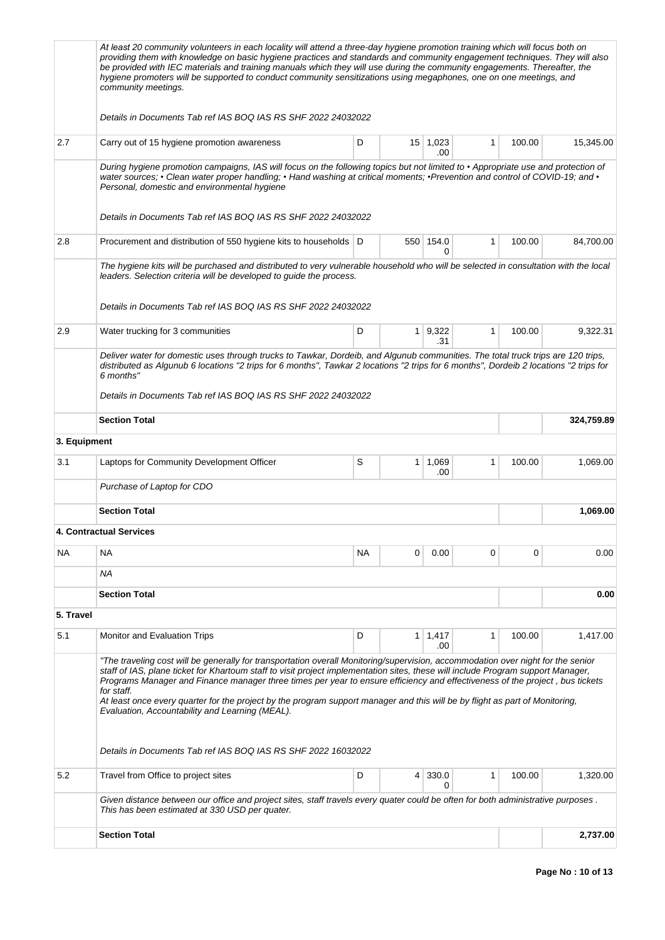|              | At least 20 community volunteers in each locality will attend a three-day hygiene promotion training which will focus both on<br>providing them with knowledge on basic hygiene practices and standards and community engagement techniques. They will also<br>be provided with IEC materials and training manuals which they will use during the community engagements. Thereafter, the<br>hygiene promoters will be supported to conduct community sensitizations using megaphones, one on one meetings, and<br>community meetings.                                                                                                                                  |           |             |                        |   |        |            |
|--------------|------------------------------------------------------------------------------------------------------------------------------------------------------------------------------------------------------------------------------------------------------------------------------------------------------------------------------------------------------------------------------------------------------------------------------------------------------------------------------------------------------------------------------------------------------------------------------------------------------------------------------------------------------------------------|-----------|-------------|------------------------|---|--------|------------|
|              | Details in Documents Tab ref IAS BOQ IAS RS SHF 2022 24032022                                                                                                                                                                                                                                                                                                                                                                                                                                                                                                                                                                                                          |           |             |                        |   |        |            |
| 2.7          | Carry out of 15 hygiene promotion awareness                                                                                                                                                                                                                                                                                                                                                                                                                                                                                                                                                                                                                            | D         |             | $15 \mid 1,023$<br>.00 | 1 | 100.00 | 15,345.00  |
|              | During hygiene promotion campaigns, IAS will focus on the following topics but not limited to • Appropriate use and protection of<br>water sources; • Clean water proper handling; • Hand washing at critical moments; • Prevention and control of COVID-19; and •<br>Personal, domestic and environmental hygiene<br>Details in Documents Tab ref IAS BOQ IAS RS SHF 2022 24032022                                                                                                                                                                                                                                                                                    |           |             |                        |   |        |            |
| 2.8          | Procurement and distribution of 550 hygiene kits to households   D                                                                                                                                                                                                                                                                                                                                                                                                                                                                                                                                                                                                     |           | 550         | 154.0<br>0             | 1 | 100.00 | 84,700.00  |
|              | The hygiene kits will be purchased and distributed to very vulnerable household who will be selected in consultation with the local<br>leaders. Selection criteria will be developed to guide the process.<br>Details in Documents Tab ref IAS BOQ IAS RS SHF 2022 24032022                                                                                                                                                                                                                                                                                                                                                                                            |           |             |                        |   |        |            |
| 2.9          | Water trucking for 3 communities                                                                                                                                                                                                                                                                                                                                                                                                                                                                                                                                                                                                                                       | D         | $\mathbf 1$ | 9,322<br>.31           | 1 | 100.00 | 9,322.31   |
|              | Deliver water for domestic uses through trucks to Tawkar, Dordeib, and Algunub communities. The total truck trips are 120 trips,<br>distributed as Algunub 6 locations "2 trips for 6 months", Tawkar 2 locations "2 trips for 6 months", Dordeib 2 locations "2 trips for<br>6 months"<br>Details in Documents Tab ref IAS BOQ IAS RS SHF 2022 24032022                                                                                                                                                                                                                                                                                                               |           |             |                        |   |        |            |
|              | <b>Section Total</b>                                                                                                                                                                                                                                                                                                                                                                                                                                                                                                                                                                                                                                                   |           |             |                        |   |        | 324,759.89 |
| 3. Equipment |                                                                                                                                                                                                                                                                                                                                                                                                                                                                                                                                                                                                                                                                        |           |             |                        |   |        |            |
| 3.1          | Laptops for Community Development Officer                                                                                                                                                                                                                                                                                                                                                                                                                                                                                                                                                                                                                              | S         | 1           | 1,069<br>.00           | 1 | 100.00 | 1,069.00   |
|              | Purchase of Laptop for CDO                                                                                                                                                                                                                                                                                                                                                                                                                                                                                                                                                                                                                                             |           |             |                        |   |        |            |
|              | <b>Section Total</b>                                                                                                                                                                                                                                                                                                                                                                                                                                                                                                                                                                                                                                                   |           |             |                        |   |        | 1,069.00   |
|              | <b>4. Contractual Services</b>                                                                                                                                                                                                                                                                                                                                                                                                                                                                                                                                                                                                                                         |           |             |                        |   |        |            |
| NA           | <b>NA</b>                                                                                                                                                                                                                                                                                                                                                                                                                                                                                                                                                                                                                                                              | <b>NA</b> | 0           | 0.00                   | 0 | 0      | 0.00       |
|              | ΝA                                                                                                                                                                                                                                                                                                                                                                                                                                                                                                                                                                                                                                                                     |           |             |                        |   |        |            |
|              | <b>Section Total</b>                                                                                                                                                                                                                                                                                                                                                                                                                                                                                                                                                                                                                                                   |           |             |                        |   |        | 0.00       |
| 5. Travel    |                                                                                                                                                                                                                                                                                                                                                                                                                                                                                                                                                                                                                                                                        |           |             |                        |   |        |            |
| 5.1          | Monitor and Evaluation Trips                                                                                                                                                                                                                                                                                                                                                                                                                                                                                                                                                                                                                                           | D         | 1           | 1,417<br>.00           | 1 | 100.00 | 1,417.00   |
|              | "The traveling cost will be generally for transportation overall Monitoring/supervision, accommodation over night for the senior<br>staff of IAS, plane ticket for Khartoum staff to visit project implementation sites, these will include Program support Manager,<br>Programs Manager and Finance manager three times per year to ensure efficiency and effectiveness of the project, bus tickets<br>for staff.<br>At least once every quarter for the project by the program support manager and this will be by flight as part of Monitoring,<br>Evaluation, Accountability and Learning (MEAL).<br>Details in Documents Tab ref IAS BOQ IAS RS SHF 2022 16032022 |           |             |                        |   |        |            |
| 5.2          | Travel from Office to project sites                                                                                                                                                                                                                                                                                                                                                                                                                                                                                                                                                                                                                                    | D         | 4           | 330.0<br>0             | 1 | 100.00 | 1,320.00   |
|              | Given distance between our office and project sites, staff travels every quater could be often for both administrative purposes.<br>This has been estimated at 330 USD per quater.                                                                                                                                                                                                                                                                                                                                                                                                                                                                                     |           |             |                        |   |        |            |
|              | <b>Section Total</b>                                                                                                                                                                                                                                                                                                                                                                                                                                                                                                                                                                                                                                                   |           |             |                        |   |        | 2,737.00   |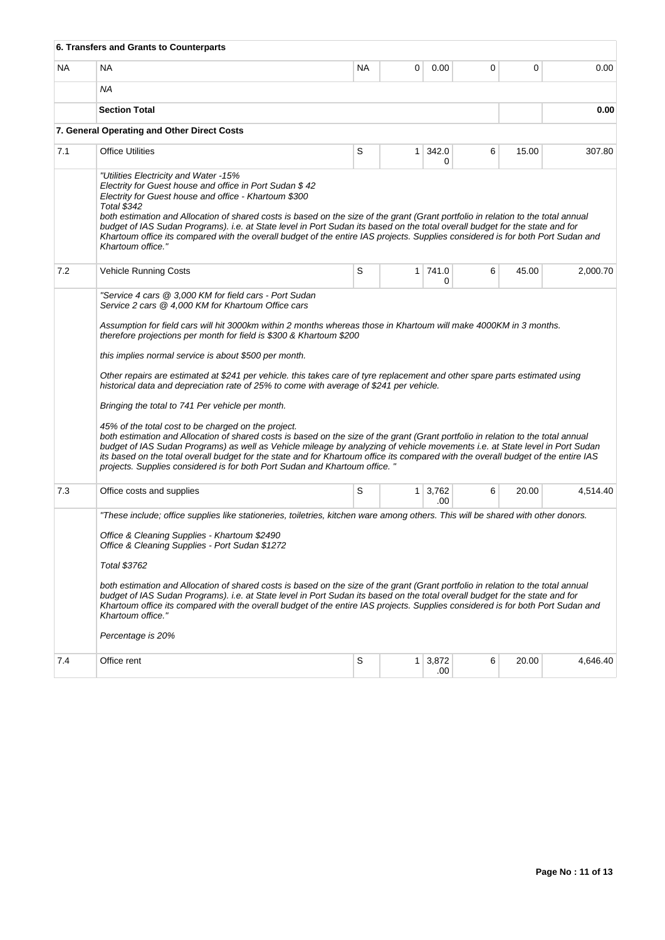|           | 6. Transfers and Grants to Counterparts                                                                                                                                                                                                                                                                                                                                                                                                                                                                                                                                                                                                                                                                                                                                                                                                                                                                                                                                                                                                                                          |           |                |                            |   |       |          |
|-----------|----------------------------------------------------------------------------------------------------------------------------------------------------------------------------------------------------------------------------------------------------------------------------------------------------------------------------------------------------------------------------------------------------------------------------------------------------------------------------------------------------------------------------------------------------------------------------------------------------------------------------------------------------------------------------------------------------------------------------------------------------------------------------------------------------------------------------------------------------------------------------------------------------------------------------------------------------------------------------------------------------------------------------------------------------------------------------------|-----------|----------------|----------------------------|---|-------|----------|
| <b>NA</b> | <b>NA</b>                                                                                                                                                                                                                                                                                                                                                                                                                                                                                                                                                                                                                                                                                                                                                                                                                                                                                                                                                                                                                                                                        | <b>NA</b> | 0              | 0.00                       | 0 | 0     | 0.00     |
|           | ΝA                                                                                                                                                                                                                                                                                                                                                                                                                                                                                                                                                                                                                                                                                                                                                                                                                                                                                                                                                                                                                                                                               |           |                |                            |   |       |          |
|           | <b>Section Total</b>                                                                                                                                                                                                                                                                                                                                                                                                                                                                                                                                                                                                                                                                                                                                                                                                                                                                                                                                                                                                                                                             |           |                |                            |   |       | 0.00     |
|           | 7. General Operating and Other Direct Costs                                                                                                                                                                                                                                                                                                                                                                                                                                                                                                                                                                                                                                                                                                                                                                                                                                                                                                                                                                                                                                      |           |                |                            |   |       |          |
| 7.1       | <b>Office Utilities</b>                                                                                                                                                                                                                                                                                                                                                                                                                                                                                                                                                                                                                                                                                                                                                                                                                                                                                                                                                                                                                                                          | S         | 1 <sup>1</sup> | 342.0<br>0                 | 6 | 15.00 | 307.80   |
|           | "Utilities Electricity and Water -15%<br>Electrity for Guest house and office in Port Sudan \$42<br>Electrity for Guest house and office - Khartoum \$300<br><b>Total \$342</b><br>both estimation and Allocation of shared costs is based on the size of the grant (Grant portfolio in relation to the total annual<br>budget of IAS Sudan Programs). i.e. at State level in Port Sudan its based on the total overall budget for the state and for<br>Khartoum office its compared with the overall budget of the entire IAS projects. Supplies considered is for both Port Sudan and<br>Khartoum office."                                                                                                                                                                                                                                                                                                                                                                                                                                                                     |           |                |                            |   |       |          |
| 7.2       | Vehicle Running Costs                                                                                                                                                                                                                                                                                                                                                                                                                                                                                                                                                                                                                                                                                                                                                                                                                                                                                                                                                                                                                                                            | S         |                | 1 741.0<br>0               | 6 | 45.00 | 2,000.70 |
|           | Assumption for field cars will hit 3000km within 2 months whereas those in Khartoum will make 4000KM in 3 months.<br>therefore projections per month for field is \$300 & Khartoum \$200<br>this implies normal service is about \$500 per month.<br>Other repairs are estimated at \$241 per vehicle. this takes care of tyre replacement and other spare parts estimated using<br>historical data and depreciation rate of 25% to come with average of \$241 per vehicle.<br>Bringing the total to 741 Per vehicle per month.<br>45% of the total cost to be charged on the project.<br>both estimation and Allocation of shared costs is based on the size of the grant (Grant portfolio in relation to the total annual<br>budget of IAS Sudan Programs) as well as Vehicle mileage by analyzing of vehicle movements i.e. at State level in Port Sudan<br>its based on the total overall budget for the state and for Khartoum office its compared with the overall budget of the entire IAS<br>projects. Supplies considered is for both Port Sudan and Khartoum office. " |           |                |                            |   |       |          |
| 7.3       | Office costs and supplies                                                                                                                                                                                                                                                                                                                                                                                                                                                                                                                                                                                                                                                                                                                                                                                                                                                                                                                                                                                                                                                        | S         |                | $1 \mid 3,762 \mid$<br>.00 | 6 | 20.00 | 4,514.40 |
|           | "These include; office supplies like stationeries, toiletries, kitchen ware among others. This will be shared with other donors.<br>Office & Cleaning Supplies - Khartoum \$2490<br>Office & Cleaning Supplies - Port Sudan \$1272<br>Total \$3762<br>both estimation and Allocation of shared costs is based on the size of the grant (Grant portfolio in relation to the total annual<br>budget of IAS Sudan Programs). i.e. at State level in Port Sudan its based on the total overall budget for the state and for<br>Khartoum office its compared with the overall budget of the entire IAS projects. Supplies considered is for both Port Sudan and<br>Khartoum office."<br>Percentage is 20%                                                                                                                                                                                                                                                                                                                                                                             |           |                |                            |   |       |          |
| 7.4       | Office rent                                                                                                                                                                                                                                                                                                                                                                                                                                                                                                                                                                                                                                                                                                                                                                                                                                                                                                                                                                                                                                                                      | S         | 1 <sup>1</sup> | 3,872<br>.00               | 6 | 20.00 | 4,646.40 |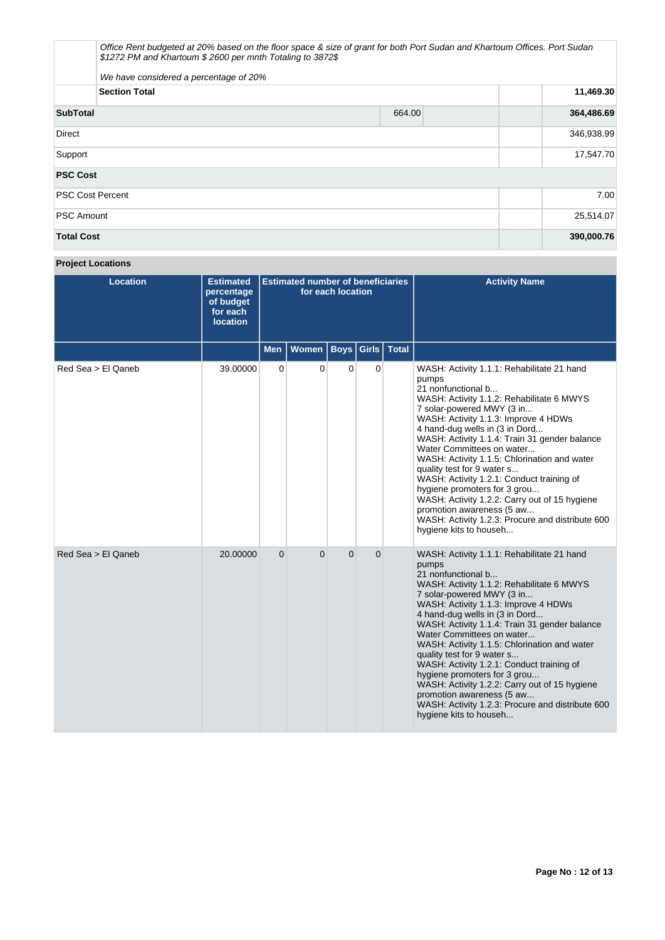|                         | Office Rent budgeted at 20% based on the floor space & size of grant for both Port Sudan and Khartoum Offices. Port Sudan<br>\$1272 PM and Khartoum \$2600 per mnth Totaling to 3872\$ |        |            |  |  |  |
|-------------------------|----------------------------------------------------------------------------------------------------------------------------------------------------------------------------------------|--------|------------|--|--|--|
|                         | We have considered a percentage of 20%                                                                                                                                                 |        |            |  |  |  |
|                         | <b>Section Total</b>                                                                                                                                                                   |        |            |  |  |  |
| <b>SubTotal</b>         |                                                                                                                                                                                        | 664.00 | 364,486.69 |  |  |  |
| <b>Direct</b>           |                                                                                                                                                                                        |        | 346,938.99 |  |  |  |
| Support                 |                                                                                                                                                                                        |        | 17,547.70  |  |  |  |
| <b>PSC Cost</b>         |                                                                                                                                                                                        |        |            |  |  |  |
| <b>PSC Cost Percent</b> |                                                                                                                                                                                        |        | 7.00       |  |  |  |
| <b>PSC Amount</b>       |                                                                                                                                                                                        |        | 25,514.07  |  |  |  |
| <b>Total Cost</b>       |                                                                                                                                                                                        |        | 390,000.76 |  |  |  |

# **Project Locations**

| <b>Location</b>    | <b>Estimated</b><br>percentage<br>of budget<br>for each<br><b>location</b> | <b>Estimated number of beneficiaries</b><br>for each location |          |          |                |                         | <b>Activity Name</b>                                                                                                                                                                                                                                                                                                                                                                                                                                                                                                                                                                                                               |
|--------------------|----------------------------------------------------------------------------|---------------------------------------------------------------|----------|----------|----------------|-------------------------|------------------------------------------------------------------------------------------------------------------------------------------------------------------------------------------------------------------------------------------------------------------------------------------------------------------------------------------------------------------------------------------------------------------------------------------------------------------------------------------------------------------------------------------------------------------------------------------------------------------------------------|
|                    |                                                                            | <b>Men</b>                                                    | Women    |          |                | <b>Boys Girls Total</b> |                                                                                                                                                                                                                                                                                                                                                                                                                                                                                                                                                                                                                                    |
| Red Sea > El Qaneb | 39.00000                                                                   | $\mathbf 0$                                                   | 0        | 0        | 0              |                         | WASH: Activity 1.1.1: Rehabilitate 21 hand<br>pumps<br>21 nonfunctional b<br>WASH: Activity 1.1.2: Rehabilitate 6 MWYS<br>7 solar-powered MWY (3 in<br>WASH: Activity 1.1.3: Improve 4 HDWs<br>4 hand-dug wells in (3 in Dord<br>WASH: Activity 1.1.4: Train 31 gender balance<br>Water Committees on water<br>WASH: Activity 1.1.5: Chlorination and water<br>quality test for 9 water s<br>WASH: Activity 1.2.1: Conduct training of<br>hygiene promoters for 3 grou<br>WASH: Activity 1.2.2: Carry out of 15 hygiene<br>promotion awareness (5 aw<br>WASH: Activity 1.2.3: Procure and distribute 600<br>hygiene kits to househ |
| Red Sea > El Qaneb | 20.00000                                                                   | $\overline{0}$                                                | $\Omega$ | $\Omega$ | $\overline{0}$ |                         | WASH: Activity 1.1.1: Rehabilitate 21 hand<br>pumps<br>21 nonfunctional b<br>WASH: Activity 1.1.2: Rehabilitate 6 MWYS<br>7 solar-powered MWY (3 in<br>WASH: Activity 1.1.3: Improve 4 HDWs<br>4 hand-dug wells in (3 in Dord<br>WASH: Activity 1.1.4: Train 31 gender balance<br>Water Committees on water<br>WASH: Activity 1.1.5: Chlorination and water<br>quality test for 9 water s<br>WASH: Activity 1.2.1: Conduct training of<br>hygiene promoters for 3 grou<br>WASH: Activity 1.2.2: Carry out of 15 hygiene<br>promotion awareness (5 aw<br>WASH: Activity 1.2.3: Procure and distribute 600<br>hygiene kits to househ |